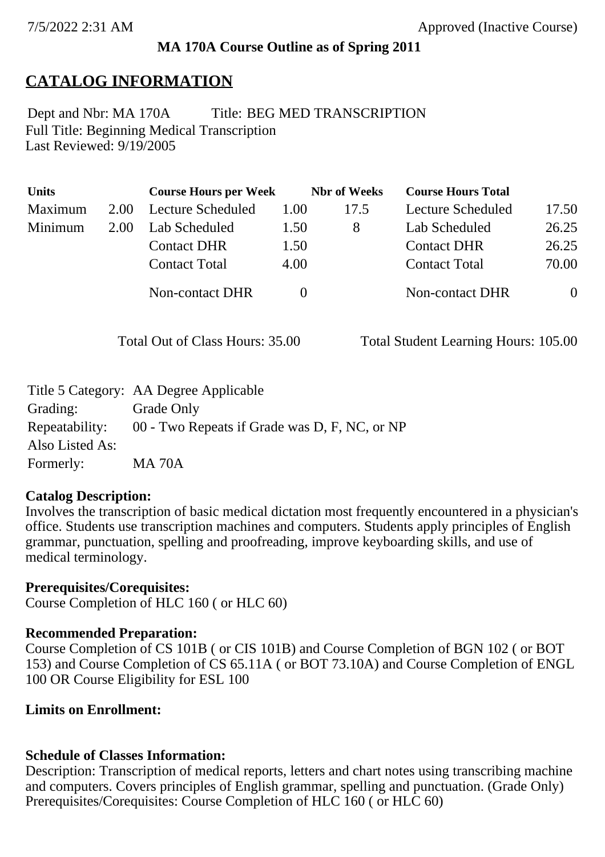#### **MA 170A Course Outline as of Spring 2011**

## **CATALOG INFORMATION**

Full Title: Beginning Medical Transcription Last Reviewed: 9/19/2005 Dept and Nbr: MA 170A Title: BEG MED TRANSCRIPTION

| <b>Units</b> |      | <b>Course Hours per Week</b> |      | <b>Nbr</b> of Weeks | <b>Course Hours Total</b> |                |
|--------------|------|------------------------------|------|---------------------|---------------------------|----------------|
| Maximum      | 2.00 | Lecture Scheduled            | 1.00 | 17.5                | Lecture Scheduled         | 17.50          |
| Minimum      | 2.00 | Lab Scheduled                | 1.50 | 8                   | Lab Scheduled             | 26.25          |
|              |      | <b>Contact DHR</b>           | 1.50 |                     | <b>Contact DHR</b>        | 26.25          |
|              |      | <b>Contact Total</b>         | 4.00 |                     | <b>Contact Total</b>      | 70.00          |
|              |      | Non-contact DHR              |      |                     | <b>Non-contact DHR</b>    | $\overline{0}$ |

Total Out of Class Hours: 35.00 Total Student Learning Hours: 105.00

|                 | Title 5 Category: AA Degree Applicable        |
|-----------------|-----------------------------------------------|
| Grading:        | Grade Only                                    |
| Repeatability:  | 00 - Two Repeats if Grade was D, F, NC, or NP |
| Also Listed As: |                                               |
| Formerly:       | <b>MA 70A</b>                                 |

#### **Catalog Description:**

Involves the transcription of basic medical dictation most frequently encountered in a physician's office. Students use transcription machines and computers. Students apply principles of English grammar, punctuation, spelling and proofreading, improve keyboarding skills, and use of medical terminology.

#### **Prerequisites/Corequisites:**

Course Completion of HLC 160 ( or HLC 60)

#### **Recommended Preparation:**

Course Completion of CS 101B ( or CIS 101B) and Course Completion of BGN 102 ( or BOT 153) and Course Completion of CS 65.11A ( or BOT 73.10A) and Course Completion of ENGL 100 OR Course Eligibility for ESL 100

#### **Limits on Enrollment:**

### **Schedule of Classes Information:**

Description: Transcription of medical reports, letters and chart notes using transcribing machine and computers. Covers principles of English grammar, spelling and punctuation. (Grade Only) Prerequisites/Corequisites: Course Completion of HLC 160 ( or HLC 60)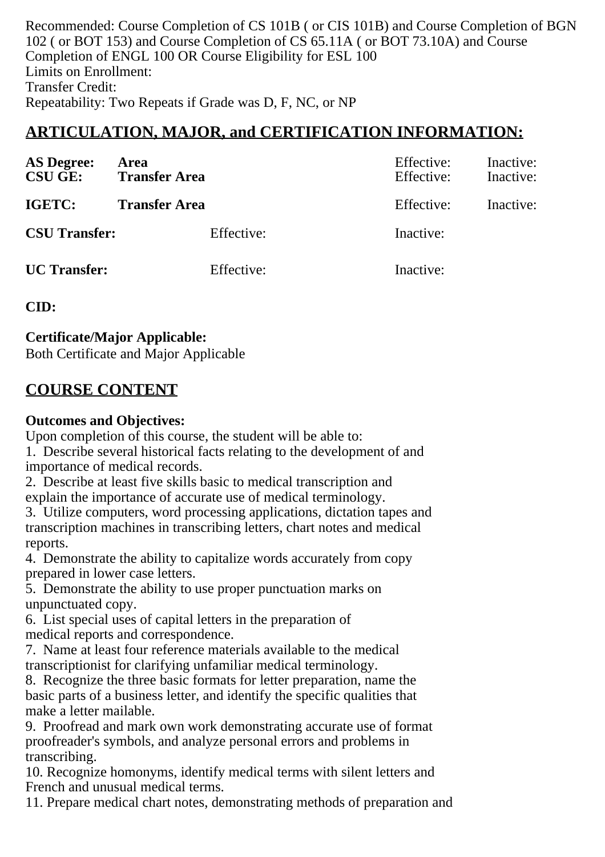Recommended: Course Completion of CS 101B ( or CIS 101B) and Course Completion of BGN 102 ( or BOT 153) and Course Completion of CS 65.11A ( or BOT 73.10A) and Course Completion of ENGL 100 OR Course Eligibility for ESL 100 Limits on Enrollment: Transfer Credit: Repeatability: Two Repeats if Grade was D, F, NC, or NP

# **ARTICULATION, MAJOR, and CERTIFICATION INFORMATION:**

| <b>AS Degree:</b><br><b>CSU GE:</b> | Area<br><b>Transfer Area</b> |            | Effective:<br>Effective: | Inactive:<br>Inactive: |
|-------------------------------------|------------------------------|------------|--------------------------|------------------------|
| IGETC:                              | <b>Transfer Area</b>         |            | Effective:               | Inactive:              |
| <b>CSU Transfer:</b>                |                              | Effective: | Inactive:                |                        |
| <b>UC</b> Transfer:                 |                              | Effective: | Inactive:                |                        |

### **CID:**

**Certificate/Major Applicable:** 

[Both Certificate and Major Applicable](SR_ClassCheck.aspx?CourseKey=MA170A)

# **COURSE CONTENT**

### **Outcomes and Objectives:**

Upon completion of this course, the student will be able to:

1. Describe several historical facts relating to the development of and importance of medical records.

2. Describe at least five skills basic to medical transcription and explain the importance of accurate use of medical terminology.

3. Utilize computers, word processing applications, dictation tapes and transcription machines in transcribing letters, chart notes and medical reports.

4. Demonstrate the ability to capitalize words accurately from copy prepared in lower case letters.

5. Demonstrate the ability to use proper punctuation marks on unpunctuated copy.

6. List special uses of capital letters in the preparation of medical reports and correspondence.

7. Name at least four reference materials available to the medical transcriptionist for clarifying unfamiliar medical terminology.

8. Recognize the three basic formats for letter preparation, name the basic parts of a business letter, and identify the specific qualities that make a letter mailable.

9. Proofread and mark own work demonstrating accurate use of format proofreader's symbols, and analyze personal errors and problems in transcribing.

10. Recognize homonyms, identify medical terms with silent letters and French and unusual medical terms.

11. Prepare medical chart notes, demonstrating methods of preparation and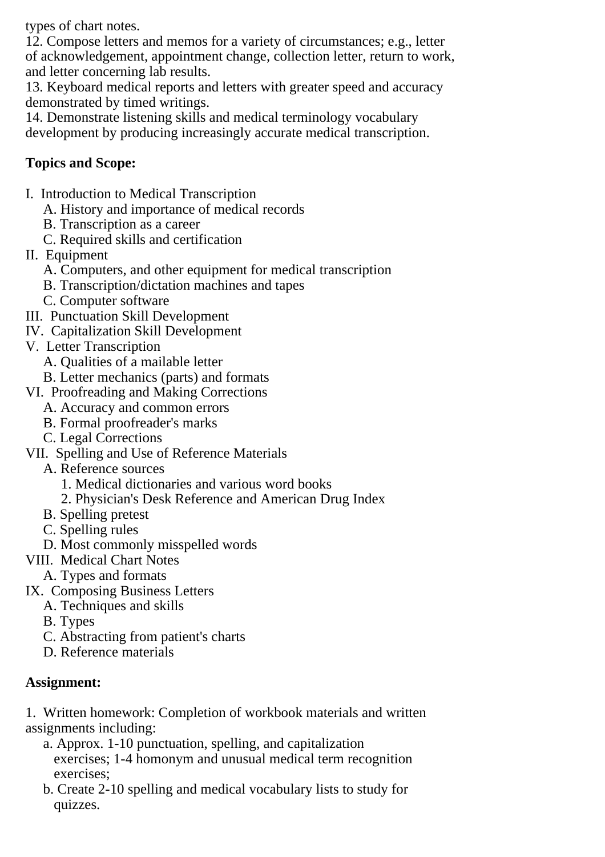types of chart notes.

12. Compose letters and memos for a variety of circumstances; e.g., letter of acknowledgement, appointment change, collection letter, return to work, and letter concerning lab results.

13. Keyboard medical reports and letters with greater speed and accuracy demonstrated by timed writings.

14. Demonstrate listening skills and medical terminology vocabulary development by producing increasingly accurate medical transcription.

### **Topics and Scope:**

- I. Introduction to Medical Transcription
	- A. History and importance of medical records
	- B. Transcription as a career
	- C. Required skills and certification
- II. Equipment
	- A. Computers, and other equipment for medical transcription
	- B. Transcription/dictation machines and tapes
	- C. Computer software
- III. Punctuation Skill Development
- IV. Capitalization Skill Development
- V. Letter Transcription
	- A. Qualities of a mailable letter
	- B. Letter mechanics (parts) and formats
- VI. Proofreading and Making Corrections
	- A. Accuracy and common errors
	- B. Formal proofreader's marks
	- C. Legal Corrections
- VII. Spelling and Use of Reference Materials
	- A. Reference sources
		- 1. Medical dictionaries and various word books
		- 2. Physician's Desk Reference and American Drug Index
	- B. Spelling pretest
	- C. Spelling rules
	- D. Most commonly misspelled words
- VIII. Medical Chart Notes
	- A. Types and formats
- IX. Composing Business Letters
	- A. Techniques and skills
	- B. Types
	- C. Abstracting from patient's charts
	- D. Reference materials

### **Assignment:**

1. Written homework: Completion of workbook materials and written assignments including:

- a. Approx. 1-10 punctuation, spelling, and capitalization exercises; 1-4 homonym and unusual medical term recognition exercises;
- b. Create 2-10 spelling and medical vocabulary lists to study for quizzes.